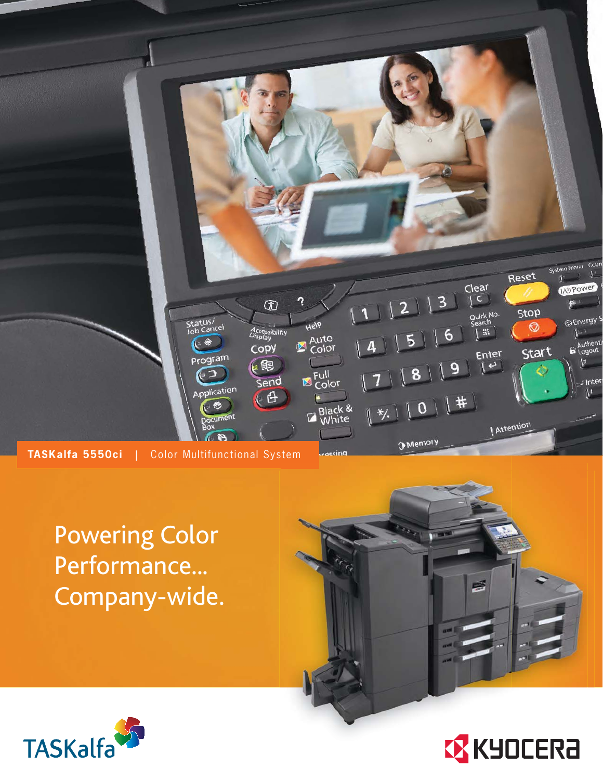

Powering Color Performance... Company-wide.